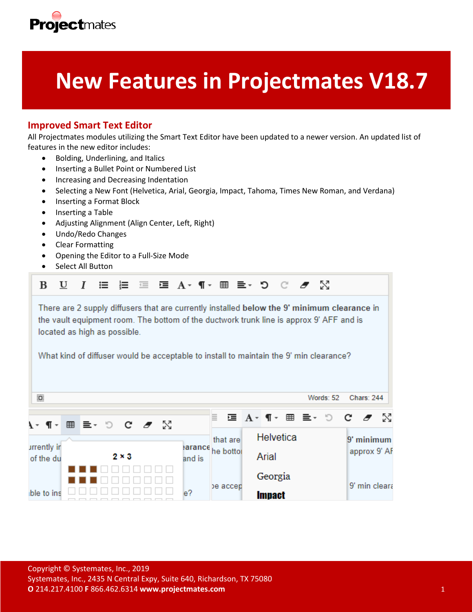

# **New Features in Projectmates V18.7**

# **Improved Smart Text Editor**

All Projectmates modules utilizing the Smart Text Editor have been updated to a newer version. An updated list of features in the new editor includes:

- Bolding, Underlining, and Italics
- Inserting a Bullet Point or Numbered List
- Increasing and Decreasing Indentation
- Selecting a New Font (Helvetica, Arial, Georgia, Impact, Tahoma, Times New Roman, and Verdana)
- Inserting a Format Block
- Inserting a Table
- Adjusting Alignment (Align Center, Left, Right)
- Undo/Redo Changes
- Clear Formatting
- Opening the Editor to a Full-Size Mode
- Select All Button

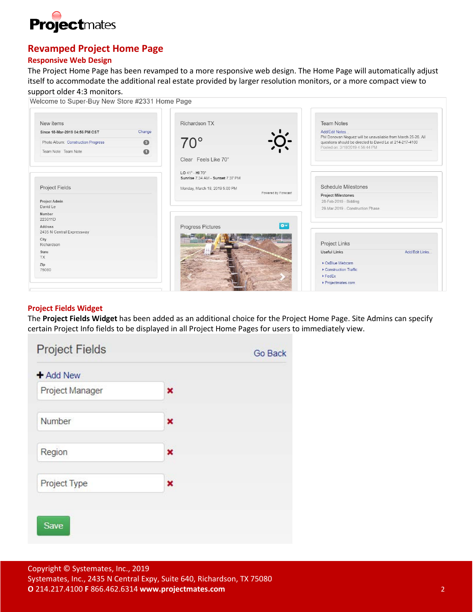

# **Revamped Project Home Page**

## **Responsive Web Design**

The Project Home Page has been revamped to a more responsive web design. The Home Page will automatically adjust itself to accommodate the additional real estate provided by larger resolution monitors, or a more compact view to support older 4:3 monitors.

| New items                            |           | Richardson TX                                       | <b>Team Notes</b>                                                             |
|--------------------------------------|-----------|-----------------------------------------------------|-------------------------------------------------------------------------------|
| Since 18-Mar-2019 04:56 PM CST       | Change    |                                                     | Add/Edit Notes<br>PM Donovan Noguez will be unavailable from March 25-26. All |
| Photo Album: Construction Progress   | $\bullet$ | $70^{\circ}$                                        | questions should be directed to David Le at 214-217-4100                      |
| Team Note: Team Note                 | $\bullet$ |                                                     | Posted on: 3/18/2019 4:56:44 PM                                               |
|                                      |           | Clear Feels Like 70°                                |                                                                               |
|                                      |           | LO 41° - HI 70°<br>Sunrise 7:34 AM - Sunset 7:37 PM |                                                                               |
| Project Fields                       |           | Monday, March 18, 2019 5:00 PM                      | <b>Schedule Milestones</b>                                                    |
|                                      |           | Powered by Forecast                                 | <b>Project Milestones</b>                                                     |
| Project Admin<br>David Le            |           |                                                     | 28-Feb-2019 - Bidding                                                         |
| Number                               |           |                                                     | 29-Mar-2019 - Construction Phase                                              |
| 223011D                              |           | $0 -$                                               |                                                                               |
| Address<br>2435 N Central Expressway |           | Progress Pictures                                   |                                                                               |
| City<br>Richardson                   |           |                                                     | Project Links                                                                 |
| State<br>TX                          |           |                                                     | <b>Useful Links</b><br>Add/Edit Links                                         |
| Zip                                  |           |                                                     | • OxBlue Webcam                                                               |
| 75080                                |           |                                                     | Construction Traffic                                                          |

#### **Project Fields Widget**

The **Project Fields Widget** has been added as an additional choice for the Project Home Page. Site Admins can specify certain Project Info fields to be displayed in all Project Home Pages for users to immediately view.

| <b>Project Fields</b>  |                | Go Back |
|------------------------|----------------|---------|
| $+$ Add New            |                |         |
| <b>Project Manager</b> | $\pmb{\times}$ |         |
| Number                 | ×              |         |
| Region                 | ×              |         |
| Project Type           | ×              |         |